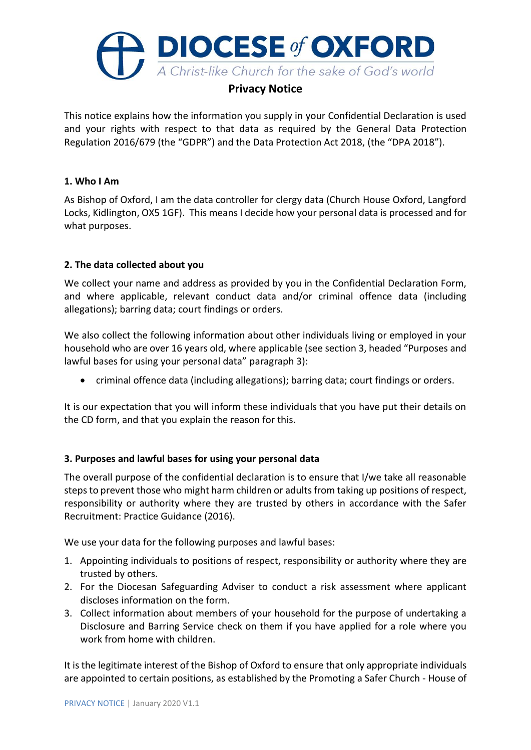

# **Privacy Notice**

This notice explains how the information you supply in your Confidential Declaration is used and your rights with respect to that data as required by the General Data Protection Regulation 2016/679 (the "GDPR") and the Data Protection Act 2018, (the "DPA 2018").

### **1. Who I Am**

As Bishop of Oxford, I am the data controller for clergy data (Church House Oxford, Langford Locks, Kidlington, OX5 1GF). This means I decide how your personal data is processed and for what purposes.

# **2. The data collected about you**

We collect your name and address as provided by you in the Confidential Declaration Form, and where applicable, relevant conduct data and/or criminal offence data (including allegations); barring data; court findings or orders.

We also collect the following information about other individuals living or employed in your household who are over 16 years old, where applicable (see section 3, headed "Purposes and lawful bases for using your personal data" paragraph 3):

• criminal offence data (including allegations); barring data; court findings or orders.

It is our expectation that you will inform these individuals that you have put their details on the CD form, and that you explain the reason for this.

# **3. Purposes and lawful bases for using your personal data**

The overall purpose of the confidential declaration is to ensure that I/we take all reasonable steps to prevent those who might harm children or adults from taking up positions of respect, responsibility or authority where they are trusted by others in accordance with the Safer Recruitment: Practice Guidance (2016).

We use your data for the following purposes and lawful bases:

- 1. Appointing individuals to positions of respect, responsibility or authority where they are trusted by others.
- 2. For the Diocesan Safeguarding Adviser to conduct a risk assessment where applicant discloses information on the form.
- 3. Collect information about members of your household for the purpose of undertaking a Disclosure and Barring Service check on them if you have applied for a role where you work from home with children.

It is the legitimate interest of the Bishop of Oxford to ensure that only appropriate individuals are appointed to certain positions, as established by the Promoting a Safer Church - House of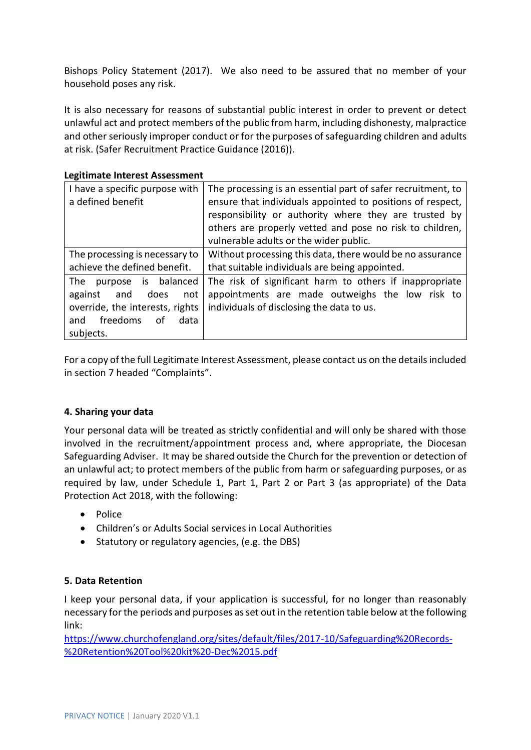Bishops Policy Statement (2017). We also need to be assured that no member of your household poses any risk.

It is also necessary for reasons of substantial public interest in order to prevent or detect unlawful act and protect members of the public from harm, including dishonesty, malpractice and other seriously improper conduct or for the purposes of safeguarding children and adults at risk. (Safer Recruitment Practice Guidance (2016)).

#### **Legitimate Interest Assessment**

| I have a specific purpose with<br>a defined benefit                                                                                       | The processing is an essential part of safer recruitment, to<br>ensure that individuals appointed to positions of respect,<br>responsibility or authority where they are trusted by<br>others are properly vetted and pose no risk to children,<br>vulnerable adults or the wider public. |
|-------------------------------------------------------------------------------------------------------------------------------------------|-------------------------------------------------------------------------------------------------------------------------------------------------------------------------------------------------------------------------------------------------------------------------------------------|
| The processing is necessary to<br>achieve the defined benefit.                                                                            | Without processing this data, there would be no assurance<br>that suitable individuals are being appointed.                                                                                                                                                                               |
| purpose is balanced<br>The<br>against<br>does<br>and<br>not<br>override, the interests, rights<br>and freedoms<br>data<br>οf<br>subjects. | The risk of significant harm to others if inappropriate<br>appointments are made outweighs the low risk to<br>individuals of disclosing the data to us.                                                                                                                                   |

For a copy of the full Legitimate Interest Assessment, please contact us on the details included in section 7 headed "Complaints".

# **4. Sharing your data**

Your personal data will be treated as strictly confidential and will only be shared with those involved in the recruitment/appointment process and, where appropriate, the Diocesan Safeguarding Adviser. It may be shared outside the Church for the prevention or detection of an unlawful act; to protect members of the public from harm or safeguarding purposes, or as required by law, under Schedule 1, Part 1, Part 2 or Part 3 (as appropriate) of the Data Protection Act 2018, with the following:

- Police
- Children's or Adults Social services in Local Authorities
- Statutory or regulatory agencies, (e.g. the DBS)

# **5. Data Retention**

I keep your personal data, if your application is successful, for no longer than reasonably necessary for the periods and purposes as set out in the retention table below at the following link:

[https://www.churchofengland.org/sites/default/files/2017-10/Safeguarding%20Records-](https://www.churchofengland.org/sites/default/files/2017-10/Safeguarding%20Records-%20Retention%20Tool%20kit%20-Dec%2015.pdf) [%20Retention%20Tool%20kit%20-Dec%2015.pdf](https://www.churchofengland.org/sites/default/files/2017-10/Safeguarding%20Records-%20Retention%20Tool%20kit%20-Dec%2015.pdf)